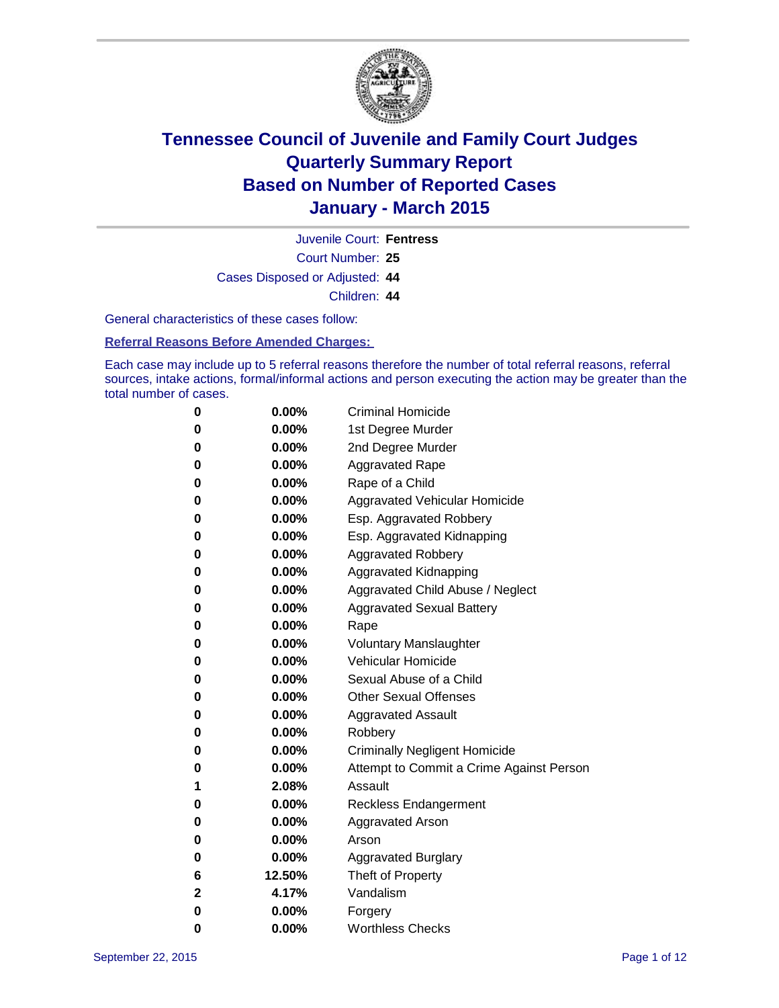

Court Number: **25** Juvenile Court: **Fentress** Cases Disposed or Adjusted: **44** Children: **44**

General characteristics of these cases follow:

**Referral Reasons Before Amended Charges:** 

Each case may include up to 5 referral reasons therefore the number of total referral reasons, referral sources, intake actions, formal/informal actions and person executing the action may be greater than the total number of cases.

| 0        | $0.00\%$ | <b>Criminal Homicide</b>                 |
|----------|----------|------------------------------------------|
| 0        | $0.00\%$ | 1st Degree Murder                        |
| 0        | $0.00\%$ | 2nd Degree Murder                        |
| 0        | $0.00\%$ | <b>Aggravated Rape</b>                   |
| 0        | $0.00\%$ | Rape of a Child                          |
| $\bf{0}$ | $0.00\%$ | Aggravated Vehicular Homicide            |
| 0        | $0.00\%$ | Esp. Aggravated Robbery                  |
| 0        | $0.00\%$ | Esp. Aggravated Kidnapping               |
| $\bf{0}$ | 0.00%    | <b>Aggravated Robbery</b>                |
| 0        | $0.00\%$ | <b>Aggravated Kidnapping</b>             |
| 0        | $0.00\%$ | Aggravated Child Abuse / Neglect         |
| $\bf{0}$ | $0.00\%$ | <b>Aggravated Sexual Battery</b>         |
| 0        | $0.00\%$ | Rape                                     |
| 0        | 0.00%    | <b>Voluntary Manslaughter</b>            |
| $\bf{0}$ | 0.00%    | <b>Vehicular Homicide</b>                |
| 0        | $0.00\%$ | Sexual Abuse of a Child                  |
| 0        | $0.00\%$ | <b>Other Sexual Offenses</b>             |
| $\bf{0}$ | $0.00\%$ | <b>Aggravated Assault</b>                |
| 0        | $0.00\%$ | Robbery                                  |
| 0        | $0.00\%$ | <b>Criminally Negligent Homicide</b>     |
| $\bf{0}$ | 0.00%    | Attempt to Commit a Crime Against Person |
| 1        | 2.08%    | Assault                                  |
| 0        | $0.00\%$ | <b>Reckless Endangerment</b>             |
| $\bf{0}$ | $0.00\%$ | <b>Aggravated Arson</b>                  |
| 0        | $0.00\%$ | Arson                                    |
| 0        | $0.00\%$ | <b>Aggravated Burglary</b>               |
| 6        | 12.50%   | Theft of Property                        |
| 2        | 4.17%    | Vandalism                                |
| 0        | 0.00%    | Forgery                                  |
| 0        | $0.00\%$ | <b>Worthless Checks</b>                  |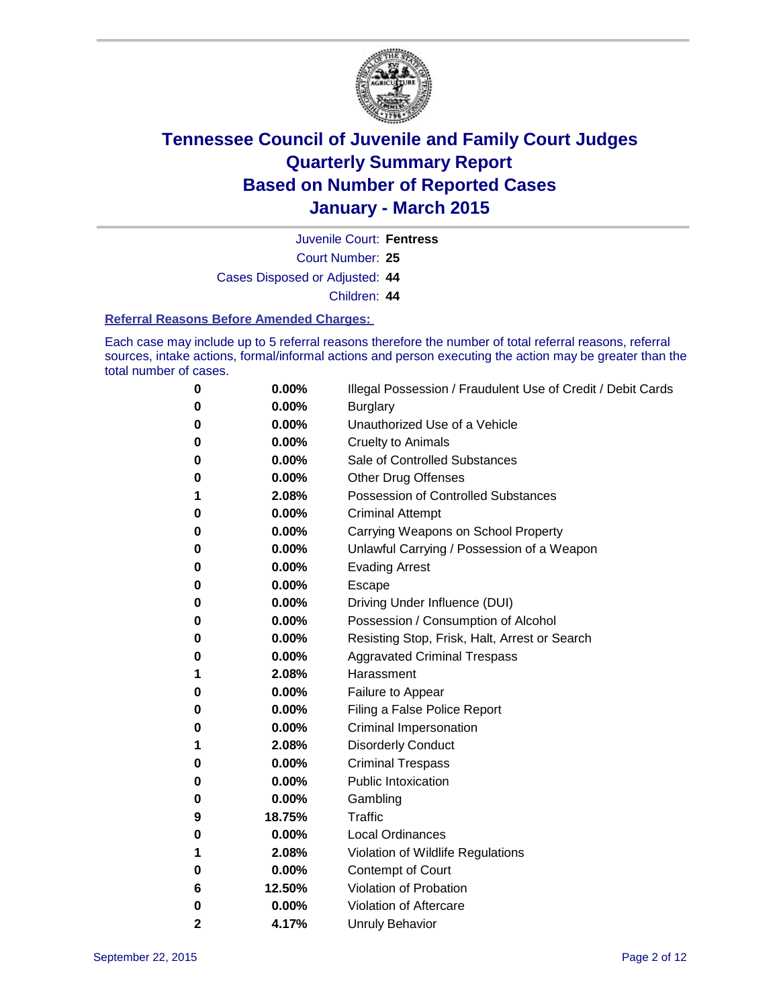

Juvenile Court: **Fentress**

Court Number: **25**

Cases Disposed or Adjusted: **44**

Children: **44**

#### **Referral Reasons Before Amended Charges:**

Each case may include up to 5 referral reasons therefore the number of total referral reasons, referral sources, intake actions, formal/informal actions and person executing the action may be greater than the total number of cases.

| 0            | 0.00%  | Illegal Possession / Fraudulent Use of Credit / Debit Cards |
|--------------|--------|-------------------------------------------------------------|
| 0            | 0.00%  | <b>Burglary</b>                                             |
| 0            | 0.00%  | Unauthorized Use of a Vehicle                               |
| 0            | 0.00%  | <b>Cruelty to Animals</b>                                   |
| 0            | 0.00%  | Sale of Controlled Substances                               |
| 0            | 0.00%  | <b>Other Drug Offenses</b>                                  |
| 1            | 2.08%  | <b>Possession of Controlled Substances</b>                  |
| 0            | 0.00%  | <b>Criminal Attempt</b>                                     |
| 0            | 0.00%  | Carrying Weapons on School Property                         |
| 0            | 0.00%  | Unlawful Carrying / Possession of a Weapon                  |
| 0            | 0.00%  | <b>Evading Arrest</b>                                       |
| 0            | 0.00%  | Escape                                                      |
| 0            | 0.00%  | Driving Under Influence (DUI)                               |
| 0            | 0.00%  | Possession / Consumption of Alcohol                         |
| 0            | 0.00%  | Resisting Stop, Frisk, Halt, Arrest or Search               |
| 0            | 0.00%  | <b>Aggravated Criminal Trespass</b>                         |
| 1            | 2.08%  | Harassment                                                  |
| 0            | 0.00%  | Failure to Appear                                           |
| 0            | 0.00%  | Filing a False Police Report                                |
| 0            | 0.00%  | Criminal Impersonation                                      |
| 1            | 2.08%  | <b>Disorderly Conduct</b>                                   |
| 0            | 0.00%  | <b>Criminal Trespass</b>                                    |
| 0            | 0.00%  | <b>Public Intoxication</b>                                  |
| 0            | 0.00%  | Gambling                                                    |
| 9            | 18.75% | <b>Traffic</b>                                              |
| 0            | 0.00%  | <b>Local Ordinances</b>                                     |
| 1            | 2.08%  | Violation of Wildlife Regulations                           |
| 0            | 0.00%  | <b>Contempt of Court</b>                                    |
| 6            | 12.50% | Violation of Probation                                      |
| 0            | 0.00%  | Violation of Aftercare                                      |
| $\mathbf{2}$ | 4.17%  | <b>Unruly Behavior</b>                                      |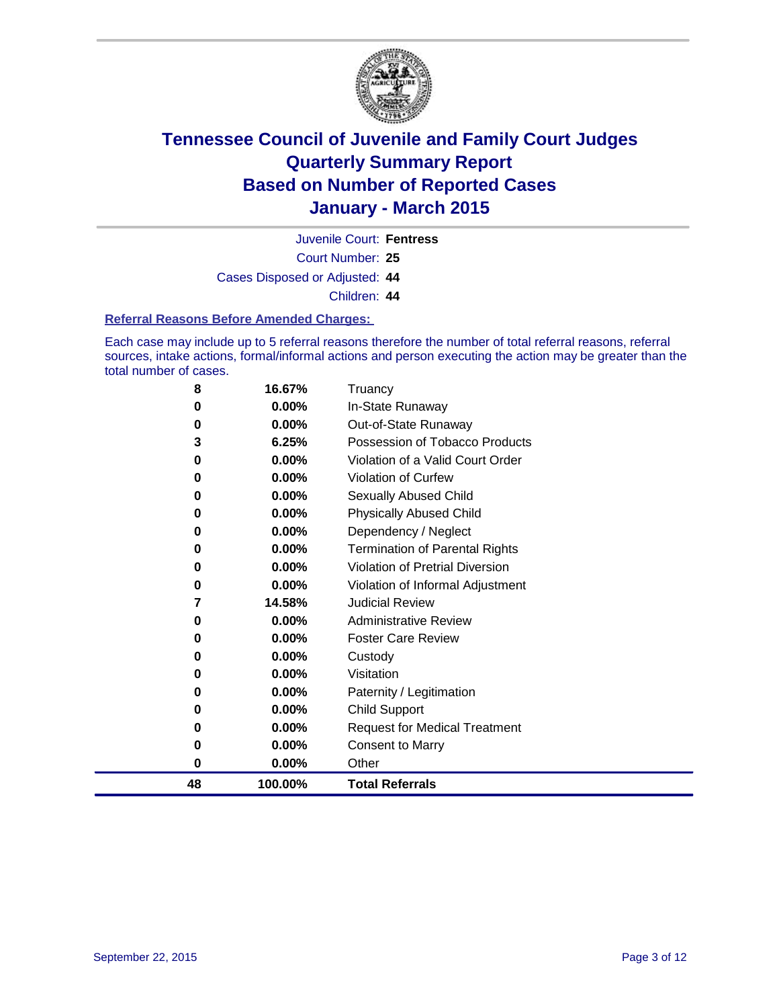

Court Number: **25** Juvenile Court: **Fentress** Cases Disposed or Adjusted: **44**

Children: **44**

#### **Referral Reasons Before Amended Charges:**

Each case may include up to 5 referral reasons therefore the number of total referral reasons, referral sources, intake actions, formal/informal actions and person executing the action may be greater than the total number of cases.

| 8  | 16.67%   | Truancy                                |
|----|----------|----------------------------------------|
| 0  | 0.00%    | In-State Runaway                       |
| 0  | $0.00\%$ | Out-of-State Runaway                   |
| 3  | 6.25%    | Possession of Tobacco Products         |
| 0  | $0.00\%$ | Violation of a Valid Court Order       |
| 0  | 0.00%    | <b>Violation of Curfew</b>             |
| 0  | 0.00%    | Sexually Abused Child                  |
| 0  | 0.00%    | <b>Physically Abused Child</b>         |
| 0  | 0.00%    | Dependency / Neglect                   |
| 0  | 0.00%    | <b>Termination of Parental Rights</b>  |
| 0  | $0.00\%$ | <b>Violation of Pretrial Diversion</b> |
| 0  | 0.00%    | Violation of Informal Adjustment       |
| 7  | 14.58%   | <b>Judicial Review</b>                 |
| 0  | 0.00%    | <b>Administrative Review</b>           |
| 0  | 0.00%    | <b>Foster Care Review</b>              |
| 0  | 0.00%    | Custody                                |
| 0  | 0.00%    | Visitation                             |
| 0  | $0.00\%$ | Paternity / Legitimation               |
| 0  | 0.00%    | <b>Child Support</b>                   |
| 0  | 0.00%    | <b>Request for Medical Treatment</b>   |
| 0  | 0.00%    | <b>Consent to Marry</b>                |
| 0  | 0.00%    | Other                                  |
| 48 | 100.00%  | <b>Total Referrals</b>                 |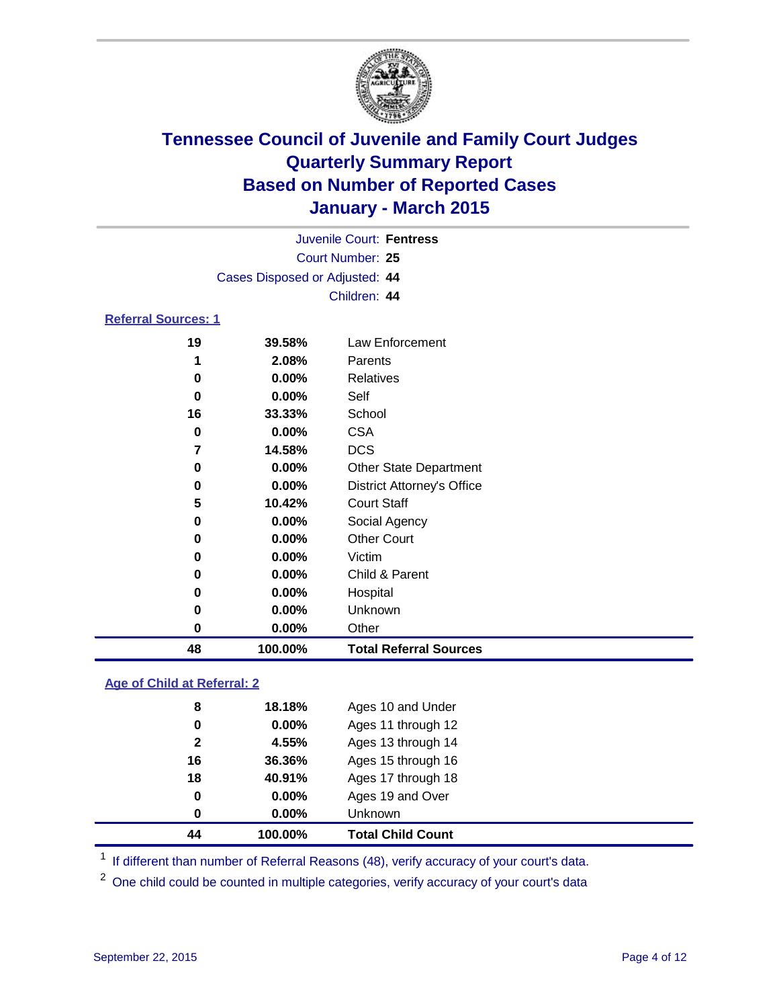

|                            |                      |                                | Juvenile Court: Fentress |
|----------------------------|----------------------|--------------------------------|--------------------------|
|                            |                      |                                | Court Number: 25         |
|                            |                      | Cases Disposed or Adjusted: 44 |                          |
|                            |                      |                                | Children: 44             |
| <b>Referral Sources: 1</b> |                      |                                |                          |
|                            | 19                   | 39.58%                         | Law Enforcement          |
|                            | 1                    | 2.08%                          | Parents                  |
|                            | $\ddot{\phantom{0}}$ | 0.001                          | $D = 1 + 1$              |

| 48 | 100.00%  | <b>Total Referral Sources</b>     |  |
|----|----------|-----------------------------------|--|
| 0  | 0.00%    | Other                             |  |
| 0  | $0.00\%$ | <b>Unknown</b>                    |  |
| 0  | 0.00%    | Hospital                          |  |
| 0  | $0.00\%$ | Child & Parent                    |  |
| 0  | $0.00\%$ | Victim                            |  |
| 0  | 0.00%    | <b>Other Court</b>                |  |
| 0  | 0.00%    | Social Agency                     |  |
| 5  | 10.42%   | <b>Court Staff</b>                |  |
| 0  | $0.00\%$ | <b>District Attorney's Office</b> |  |
| 0  | 0.00%    | <b>Other State Department</b>     |  |
| 7  | 14.58%   | <b>DCS</b>                        |  |
| 0  | 0.00%    | <b>CSA</b>                        |  |
| 16 | 33.33%   | School                            |  |
| 0  | $0.00\%$ | Self                              |  |
| 0  | 0.00%    | Relatives                         |  |
|    |          |                                   |  |

#### **Age of Child at Referral: 2**

| 44           | 100.00%  | <b>Total Child Count</b> |
|--------------|----------|--------------------------|
| 0            | $0.00\%$ | <b>Unknown</b>           |
| $\mathbf 0$  | $0.00\%$ | Ages 19 and Over         |
| 18           | 40.91%   | Ages 17 through 18       |
| 16           | 36.36%   | Ages 15 through 16       |
| $\mathbf{2}$ | 4.55%    | Ages 13 through 14       |
| 0            | 0.00%    | Ages 11 through 12       |
| 8            | 18.18%   | Ages 10 and Under        |
|              |          |                          |

<sup>1</sup> If different than number of Referral Reasons (48), verify accuracy of your court's data.

One child could be counted in multiple categories, verify accuracy of your court's data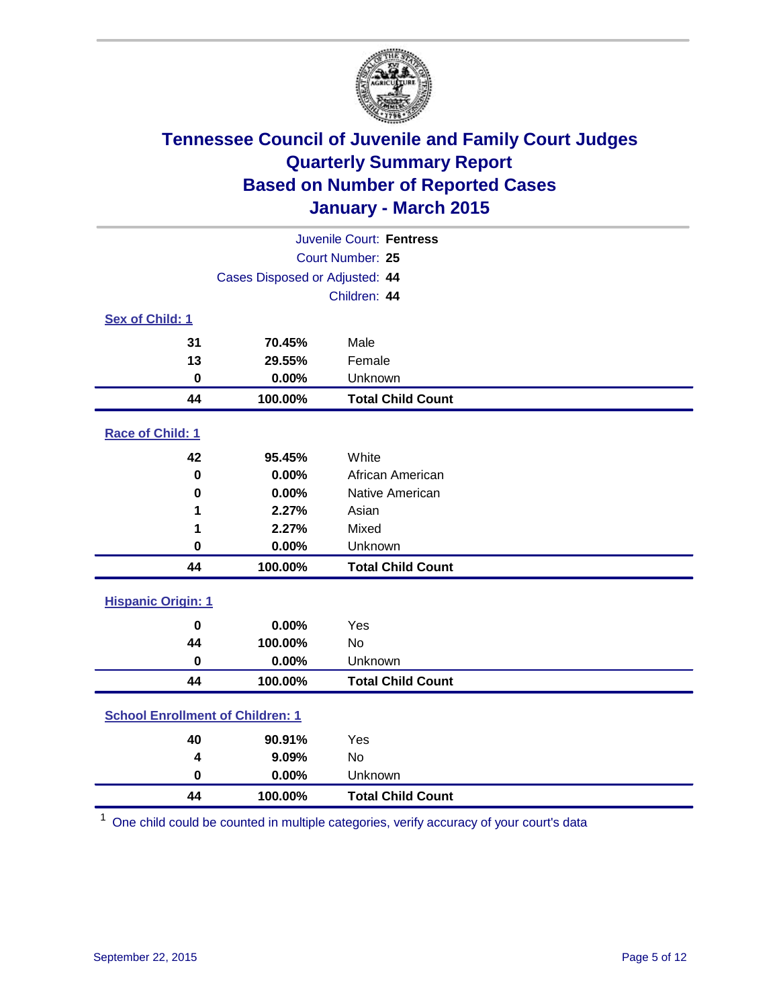

| Juvenile Court: Fentress                |                  |                          |  |  |  |
|-----------------------------------------|------------------|--------------------------|--|--|--|
|                                         | Court Number: 25 |                          |  |  |  |
| Cases Disposed or Adjusted: 44          |                  |                          |  |  |  |
|                                         | Children: 44     |                          |  |  |  |
| <b>Sex of Child: 1</b>                  |                  |                          |  |  |  |
| 31                                      | 70.45%           | Male                     |  |  |  |
| 13                                      | 29.55%           | Female                   |  |  |  |
| $\mathbf 0$                             | 0.00%            | Unknown                  |  |  |  |
| 44                                      | 100.00%          | <b>Total Child Count</b> |  |  |  |
| Race of Child: 1                        |                  |                          |  |  |  |
| 42                                      | 95.45%           | White                    |  |  |  |
| $\bf{0}$                                | 0.00%            | African American         |  |  |  |
| 0                                       | 0.00%            | Native American          |  |  |  |
| 1                                       | 2.27%            | Asian                    |  |  |  |
| 1                                       | 2.27%            | Mixed                    |  |  |  |
| 0                                       | 0.00%            | Unknown                  |  |  |  |
| 44                                      | 100.00%          | <b>Total Child Count</b> |  |  |  |
| <b>Hispanic Origin: 1</b>               |                  |                          |  |  |  |
| $\mathbf 0$                             | 0.00%            | Yes                      |  |  |  |
| 44                                      | 100.00%          | No                       |  |  |  |
| $\bf{0}$                                | 0.00%            | Unknown                  |  |  |  |
| 44                                      | 100.00%          | <b>Total Child Count</b> |  |  |  |
| <b>School Enrollment of Children: 1</b> |                  |                          |  |  |  |
| 40                                      | 90.91%           | Yes                      |  |  |  |
| 4                                       | 9.09%            | <b>No</b>                |  |  |  |
| $\bf{0}$                                | 0.00%            | Unknown                  |  |  |  |
| 44                                      | 100.00%          | <b>Total Child Count</b> |  |  |  |

One child could be counted in multiple categories, verify accuracy of your court's data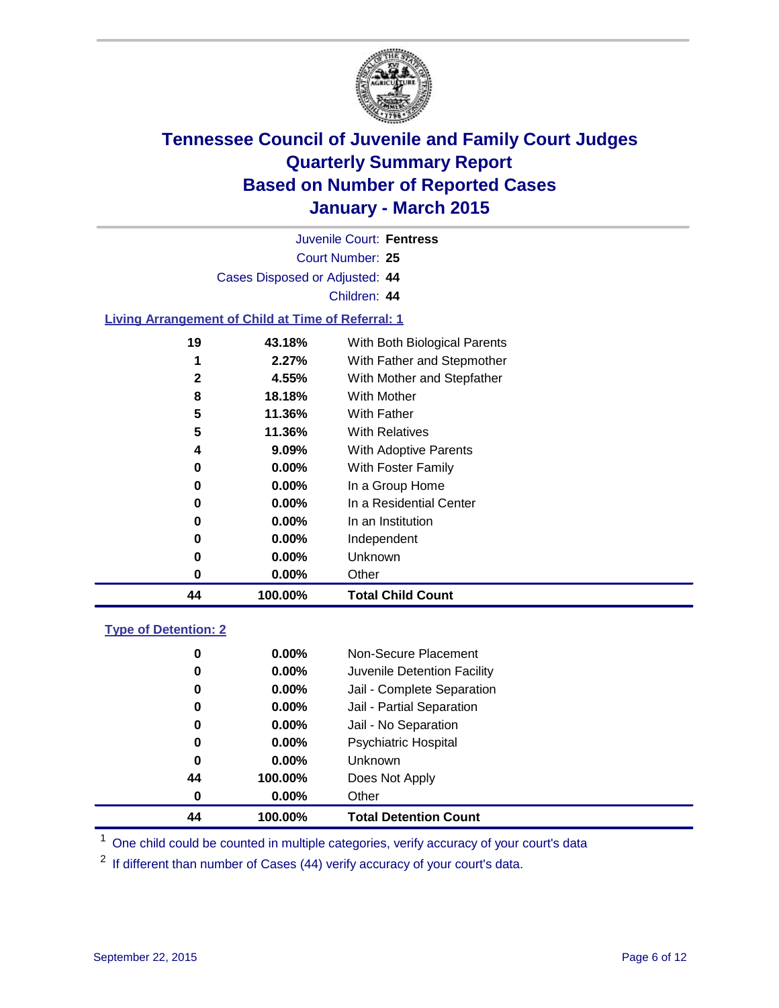

| Juvenile Court: Fentress                                  |                  |                              |  |  |  |
|-----------------------------------------------------------|------------------|------------------------------|--|--|--|
|                                                           | Court Number: 25 |                              |  |  |  |
| Cases Disposed or Adjusted: 44                            |                  |                              |  |  |  |
|                                                           |                  | Children: 44                 |  |  |  |
| <b>Living Arrangement of Child at Time of Referral: 1</b> |                  |                              |  |  |  |
| 19                                                        | 43.18%           | With Both Biological Parents |  |  |  |
| 1                                                         | 2.27%            | With Father and Stepmother   |  |  |  |
| 2                                                         | 4.55%            | With Mother and Stepfather   |  |  |  |
| 8                                                         | 18.18%           | With Mother                  |  |  |  |
| 5                                                         | 11.36%           | With Father                  |  |  |  |
| 5                                                         | 11.36%           | <b>With Relatives</b>        |  |  |  |
| 4                                                         | 9.09%            | With Adoptive Parents        |  |  |  |
| 0                                                         | 0.00%            | With Foster Family           |  |  |  |
| 0                                                         | $0.00\%$         | In a Group Home              |  |  |  |
| 0                                                         | 0.00%            | In a Residential Center      |  |  |  |
| 0                                                         | $0.00\%$         | In an Institution            |  |  |  |
| 0                                                         | 0.00%            | Independent                  |  |  |  |
| 0                                                         | $0.00\%$         | Unknown                      |  |  |  |
| 0                                                         | $0.00\%$         | Other                        |  |  |  |
| 44                                                        | 100.00%          | <b>Total Child Count</b>     |  |  |  |
| <b>Type of Detention: 2</b>                               |                  |                              |  |  |  |
| 0                                                         | 0.00%            | Non-Secure Placement         |  |  |  |
| 0                                                         | $0.00\%$         | Juvenile Detention Facility  |  |  |  |
| 0                                                         | 0.00%            | Jail - Complete Separation   |  |  |  |
| 0                                                         | 0.00%            | Jail - Partial Separation    |  |  |  |

 **0.00%** Jail - No Separation **0.00%** Psychiatric Hospital **0.00%** Unknown **100.00%** Does Not Apply **0.00%** Other **100.00% Total Detention Count**

<sup>1</sup> One child could be counted in multiple categories, verify accuracy of your court's data

If different than number of Cases (44) verify accuracy of your court's data.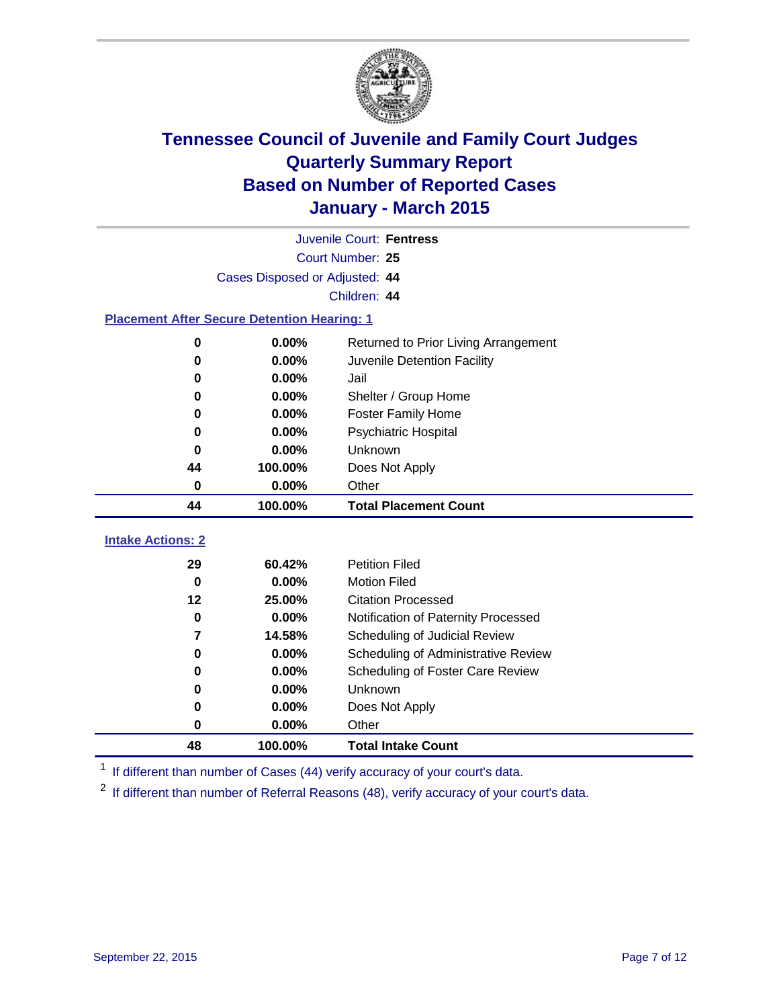

|                                                    | Juvenile Court: Fentress       |                                              |  |  |  |
|----------------------------------------------------|--------------------------------|----------------------------------------------|--|--|--|
|                                                    |                                | Court Number: 25                             |  |  |  |
|                                                    | Cases Disposed or Adjusted: 44 |                                              |  |  |  |
|                                                    | Children: 44                   |                                              |  |  |  |
| <b>Placement After Secure Detention Hearing: 1</b> |                                |                                              |  |  |  |
| 0                                                  | 0.00%                          | Returned to Prior Living Arrangement         |  |  |  |
| $\bf{0}$                                           | 0.00%                          | Juvenile Detention Facility                  |  |  |  |
| 0                                                  | 0.00%                          | Jail                                         |  |  |  |
| 0                                                  | 0.00%                          | Shelter / Group Home                         |  |  |  |
| $\bf{0}$                                           | 0.00%                          | <b>Foster Family Home</b>                    |  |  |  |
| 0                                                  | 0.00%                          | <b>Psychiatric Hospital</b>                  |  |  |  |
| 0                                                  | 0.00%                          | Unknown                                      |  |  |  |
| 44                                                 | 100.00%                        | Does Not Apply                               |  |  |  |
| 0                                                  | 0.00%                          | Other                                        |  |  |  |
| 44                                                 | 100.00%                        | <b>Total Placement Count</b>                 |  |  |  |
| <b>Intake Actions: 2</b>                           |                                |                                              |  |  |  |
|                                                    |                                |                                              |  |  |  |
|                                                    |                                |                                              |  |  |  |
| 29<br>$\bf{0}$                                     | 60.42%<br>0.00%                | <b>Petition Filed</b><br><b>Motion Filed</b> |  |  |  |
| $12 \,$                                            | 25.00%                         | <b>Citation Processed</b>                    |  |  |  |
| $\bf{0}$                                           | 0.00%                          | Notification of Paternity Processed          |  |  |  |
| $\overline{7}$                                     | 14.58%                         | Scheduling of Judicial Review                |  |  |  |
| 0                                                  | 0.00%                          | Scheduling of Administrative Review          |  |  |  |
| 0                                                  | 0.00%                          | Scheduling of Foster Care Review             |  |  |  |
| $\bf{0}$                                           | 0.00%                          | Unknown                                      |  |  |  |
| 0                                                  | 0.00%                          | Does Not Apply                               |  |  |  |
| $\bf{0}$                                           | 0.00%                          | Other                                        |  |  |  |

<sup>1</sup> If different than number of Cases (44) verify accuracy of your court's data.

<sup>2</sup> If different than number of Referral Reasons (48), verify accuracy of your court's data.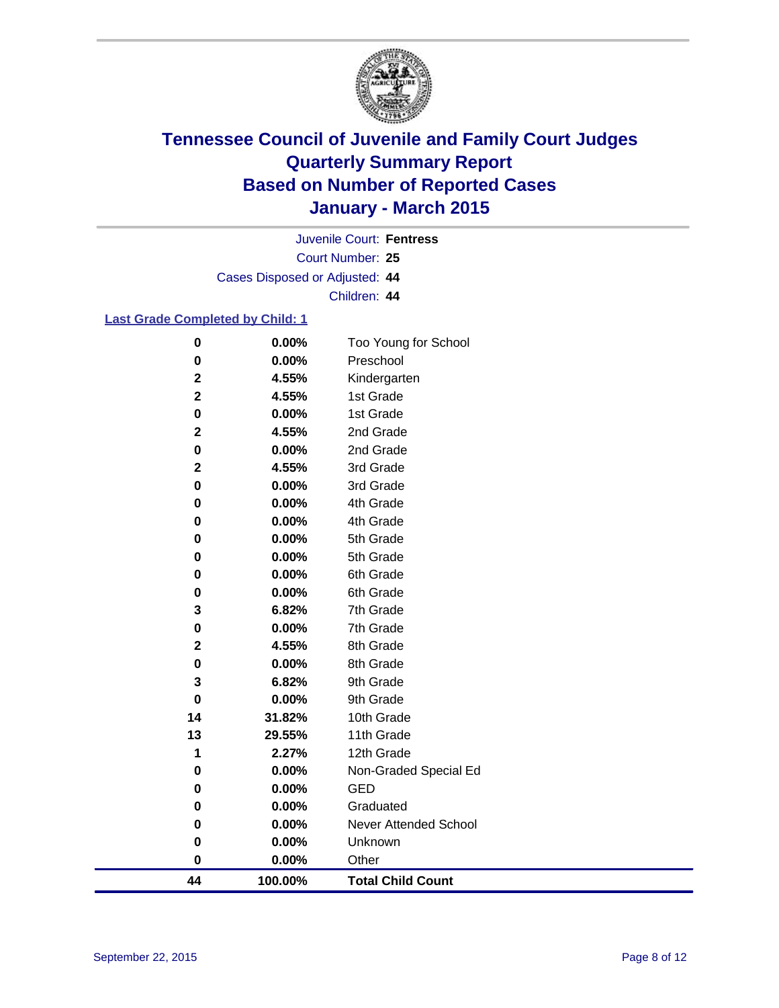

Court Number: **25** Juvenile Court: **Fentress** Cases Disposed or Adjusted: **44** Children: **44**

#### **Last Grade Completed by Child: 1**

| 44               | 100.00%        | <b>Total Child Count</b>  |
|------------------|----------------|---------------------------|
| $\pmb{0}$        | $0.00\%$       | Other                     |
| 0                | 0.00%          | Unknown                   |
| 0                | 0.00%          | Never Attended School     |
| 0                | 0.00%          | Graduated                 |
| 0                | 0.00%          | <b>GED</b>                |
| 0                | 0.00%          | Non-Graded Special Ed     |
| 1                | 2.27%          | 12th Grade                |
| 13               | 29.55%         | 11th Grade                |
| 14               | 31.82%         | 10th Grade                |
| 0                | 0.00%          | 9th Grade                 |
| 3                | 6.82%          | 9th Grade                 |
| $\pmb{0}$        | 0.00%          | 8th Grade                 |
| $\mathbf 2$      | 4.55%          | 8th Grade                 |
| 0                | 0.00%          | 7th Grade                 |
| 3                | 6.82%          | 7th Grade                 |
| 0                | 0.00%          | 6th Grade                 |
| 0                | 0.00%          | 6th Grade                 |
| 0                | 0.00%          | 5th Grade                 |
| 0                | 0.00%          | 5th Grade                 |
| 0                | 0.00%          | 4th Grade                 |
| 0                | 0.00%          | 4th Grade                 |
| $\pmb{0}$        | 0.00%          | 3rd Grade                 |
| $\mathbf 2$      | 4.55%          | 3rd Grade                 |
| 0                | 0.00%          | 2nd Grade                 |
| $\mathbf 2$      | 4.55%          | 2nd Grade                 |
| $\mathbf 2$<br>0 | 4.55%<br>0.00% | 1st Grade                 |
| $\mathbf 2$      | 4.55%          | Kindergarten<br>1st Grade |
| 0                | 0.00%          | Preschool                 |
| $\pmb{0}$        | 0.00%          | Too Young for School      |
|                  |                |                           |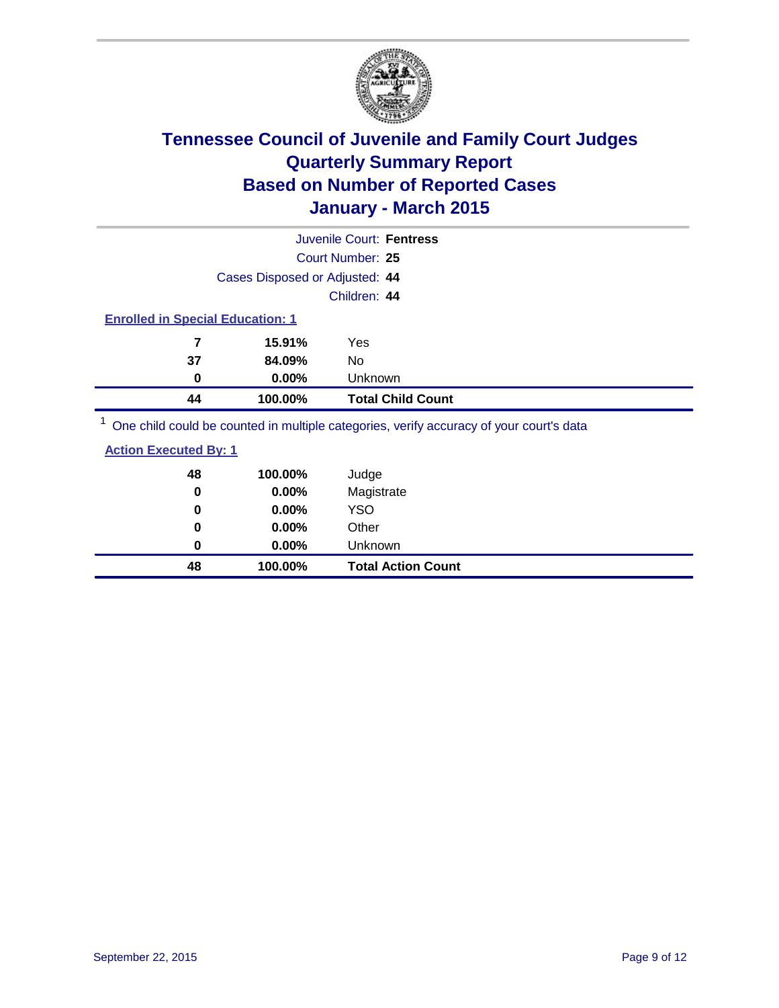

|                                         |          | Juvenile Court: Fentress                                                                |  |  |  |
|-----------------------------------------|----------|-----------------------------------------------------------------------------------------|--|--|--|
|                                         |          | Court Number: 25                                                                        |  |  |  |
| Cases Disposed or Adjusted: 44          |          |                                                                                         |  |  |  |
|                                         |          | Children: 44                                                                            |  |  |  |
| <b>Enrolled in Special Education: 1</b> |          |                                                                                         |  |  |  |
| 7                                       | 15.91%   | Yes                                                                                     |  |  |  |
| 37                                      | 84.09%   | No                                                                                      |  |  |  |
| 0                                       | $0.00\%$ | Unknown                                                                                 |  |  |  |
| 44                                      | 100.00%  | <b>Total Child Count</b>                                                                |  |  |  |
|                                         |          | One objet could be counted in multiple optogeties, verify acquires of veur courtle data |  |  |  |

<sup>1</sup> One child could be counted in multiple categories, verify accuracy of your court's data

#### **Action Executed By: 1**

| 48<br>0 | 100.00%<br>0.00% | Judge<br>Magistrate       |
|---------|------------------|---------------------------|
| 0       | $0.00\%$         | <b>YSO</b>                |
| 0       | $0.00\%$         | Other                     |
| 0       | $0.00\%$         | Unknown                   |
| 48      | 100.00%          | <b>Total Action Count</b> |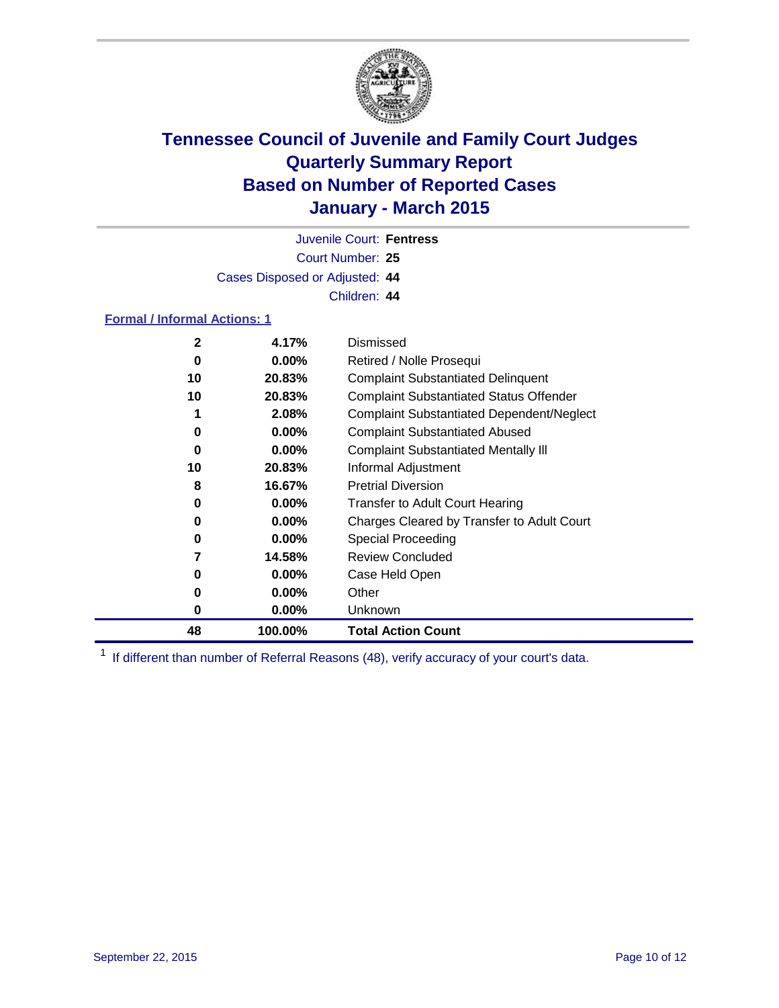

Court Number: **25** Juvenile Court: **Fentress** Cases Disposed or Adjusted: **44** Children: **44**

#### **Formal / Informal Actions: 1**

| $\mathbf{2}$ | 4.17%    | Dismissed                                        |
|--------------|----------|--------------------------------------------------|
| 0            | $0.00\%$ | Retired / Nolle Prosequi                         |
| 10           | 20.83%   | <b>Complaint Substantiated Delinquent</b>        |
| 10           | 20.83%   | <b>Complaint Substantiated Status Offender</b>   |
|              | 2.08%    | <b>Complaint Substantiated Dependent/Neglect</b> |
| 0            | $0.00\%$ | <b>Complaint Substantiated Abused</b>            |
| 0            | $0.00\%$ | <b>Complaint Substantiated Mentally III</b>      |
| 10           | 20.83%   | Informal Adjustment                              |
| 8            | 16.67%   | <b>Pretrial Diversion</b>                        |
| 0            | $0.00\%$ | <b>Transfer to Adult Court Hearing</b>           |
| 0            | $0.00\%$ | Charges Cleared by Transfer to Adult Court       |
| 0            | $0.00\%$ | Special Proceeding                               |
|              | 14.58%   | <b>Review Concluded</b>                          |
| 0            | $0.00\%$ | Case Held Open                                   |
| 0            | $0.00\%$ | Other                                            |
| 0            | $0.00\%$ | Unknown                                          |
| 48           | 100.00%  | <b>Total Action Count</b>                        |

<sup>1</sup> If different than number of Referral Reasons (48), verify accuracy of your court's data.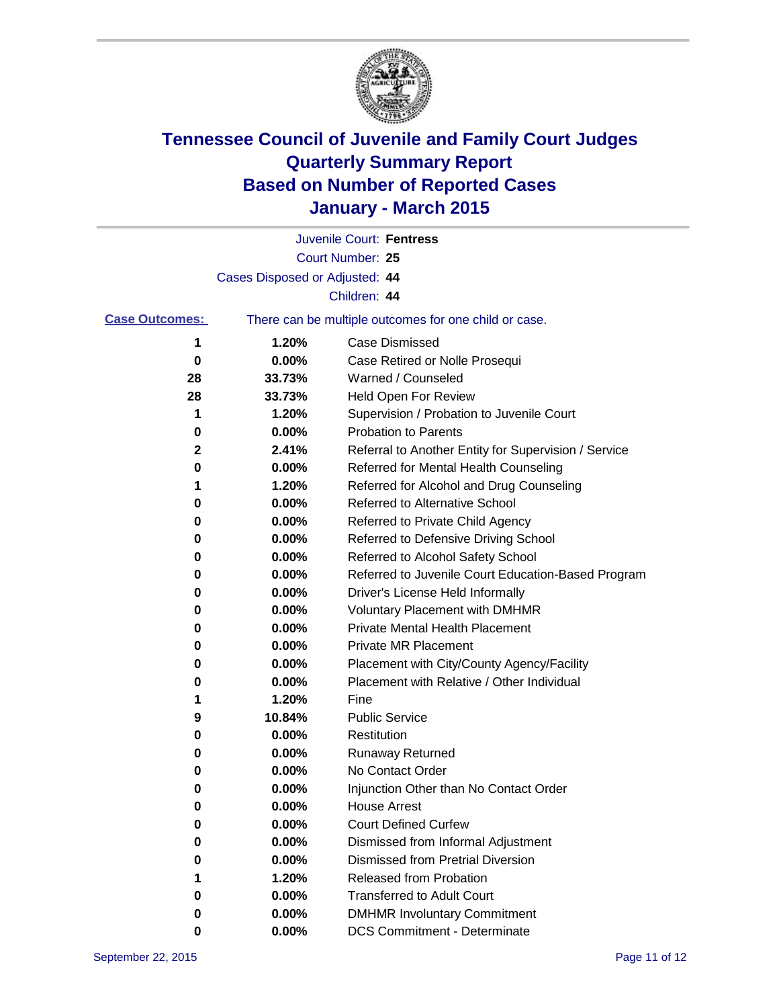

|                       |                                | Juvenile Court: Fentress                              |
|-----------------------|--------------------------------|-------------------------------------------------------|
|                       |                                | Court Number: 25                                      |
|                       | Cases Disposed or Adjusted: 44 |                                                       |
|                       |                                | Children: 44                                          |
| <b>Case Outcomes:</b> |                                | There can be multiple outcomes for one child or case. |
| 1                     | 1.20%                          | <b>Case Dismissed</b>                                 |
| 0                     | 0.00%                          | Case Retired or Nolle Prosequi                        |
| 28                    | 33.73%                         | Warned / Counseled                                    |
| 28                    | 33.73%                         | Held Open For Review                                  |
| 1                     | 1.20%                          | Supervision / Probation to Juvenile Court             |
| 0                     | 0.00%                          | <b>Probation to Parents</b>                           |
| 2                     | 2.41%                          | Referral to Another Entity for Supervision / Service  |
| 0                     | 0.00%                          | Referred for Mental Health Counseling                 |
| 1                     | 1.20%                          | Referred for Alcohol and Drug Counseling              |
| 0                     | 0.00%                          | Referred to Alternative School                        |
| 0                     | 0.00%                          | Referred to Private Child Agency                      |
| 0                     | 0.00%                          | Referred to Defensive Driving School                  |
| 0                     | 0.00%                          | Referred to Alcohol Safety School                     |
| 0                     | 0.00%                          | Referred to Juvenile Court Education-Based Program    |
| 0                     | 0.00%                          | Driver's License Held Informally                      |
| 0                     | 0.00%                          | <b>Voluntary Placement with DMHMR</b>                 |
| 0                     | 0.00%                          | <b>Private Mental Health Placement</b>                |
| 0                     | 0.00%                          | Private MR Placement                                  |
| 0                     | 0.00%                          | Placement with City/County Agency/Facility            |
| 0                     | 0.00%                          | Placement with Relative / Other Individual            |
| 1                     | 1.20%                          | Fine                                                  |
| 9                     | 10.84%                         | <b>Public Service</b>                                 |
| 0                     | 0.00%                          | Restitution                                           |
| 0                     | 0.00%                          | <b>Runaway Returned</b>                               |
| 0                     | 0.00%                          | No Contact Order                                      |
| 0                     | 0.00%                          | Injunction Other than No Contact Order                |
| $\bf{0}$              | 0.00%                          | <b>House Arrest</b>                                   |
| 0                     | 0.00%                          | <b>Court Defined Curfew</b>                           |
| 0                     | 0.00%                          | Dismissed from Informal Adjustment                    |
| 0                     | 0.00%                          | <b>Dismissed from Pretrial Diversion</b>              |
| 1                     | 1.20%                          | Released from Probation                               |
| 0                     | 0.00%                          | <b>Transferred to Adult Court</b>                     |
| 0                     | 0.00%                          | <b>DMHMR Involuntary Commitment</b>                   |
| 0                     | $0.00\%$                       | <b>DCS Commitment - Determinate</b>                   |